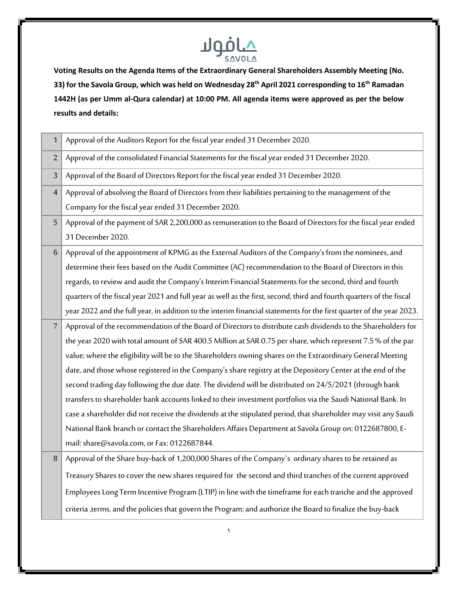## word

**Voting Results on the Agenda Items of the Extraordinary General Shareholders Assembly Meeting (No. 33) for the Savola Group, which was held on Wednesday 28th April 2021 corresponding to 16th Ramadan 1442H (as per Umm al-Qura calendar) at 10:00 PM. All agenda items were approved as per the below results and details:** 

| $\mathbf{1}$   | Approval of the Auditors Report for the fiscal year ended 31 December 2020.                                          |
|----------------|----------------------------------------------------------------------------------------------------------------------|
| $\overline{2}$ | Approval of the consolidated Financial Statements for the fiscal year ended 31 December 2020.                        |
| $\overline{3}$ | Approval of the Board of Directors Report for the fiscal year ended 31 December 2020.                                |
| $\overline{4}$ | Approval of absolving the Board of Directors from their liabilities pertaining to the management of the              |
|                | Company for the fiscal year ended 31 December 2020.                                                                  |
| 5              | Approval of the payment of SAR 2,200,000 as remuneration to the Board of Directors for the fiscal year ended         |
|                | 31 December 2020.                                                                                                    |
| $6\phantom{1}$ | Approval of the appointment of KPMG as the External Auditors of the Company's from the nominees, and                 |
|                | determine their fees based on the Audit Committee (AC) recommendation to the Board of Directors in this              |
|                | regards, to review and audit the Company's Interim Financial Statements for the second, third and fourth             |
|                | quarters of the fiscal year 2021 and full year as well as the first, second, third and fourth quarters of the fiscal |
|                | year 2022 and the full year, in addition to the interim financial statements for the first quarter of the year 2023. |
| $\overline{7}$ | Approval of the recommendation of the Board of Directors to distribute cash dividends to the Shareholders for        |
|                | the year 2020 with total amount of SAR 400.5 Million at SAR 0.75 per share, which represent 7.5% of the par          |
|                | value; where the eligibility will be to the Shareholders owning shares on the Extraordinary General Meeting          |
|                | date, and those whose registered in the Company's share registry at the Depository Center at the end of the          |
|                | second trading day following the due date. The dividend will be distributed on 24/5/2021 (through bank               |
|                | transfers to shareholder bank accounts linked to their investment portfolios via the Saudi National Bank. In         |
|                | case a shareholder did not receive the dividends at the stipulated period, that shareholder may visit any Saudi      |
|                | National Bank branch or contact the Shareholders Affairs Department at Savola Group on: 0122687800, E-               |
|                | mail: share@savola.com, or Fax: 0122687844.                                                                          |
| 8              | Approval of the Share buy-back of 1,200,000 Shares of the Company's ordinary shares to be retained as                |
|                | Treasury Shares to cover the new shares required for the second and third tranches of the current approved           |
|                | Employees Long Term Incentive Program (LTIP) in line with the timeframe for each tranche and the approved            |
|                | criteria, terms, and the policies that govern the Program; and authorize the Board to finalize the buy-back          |
|                |                                                                                                                      |

 $\lambda$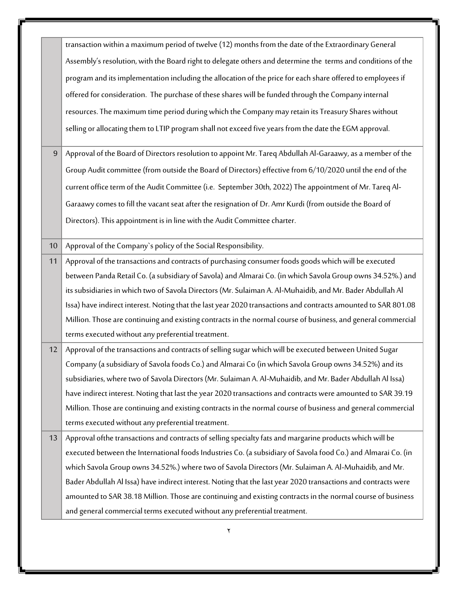|    | transaction within a maximum period of twelve (12) months from the date of the Extraordinary General           |
|----|----------------------------------------------------------------------------------------------------------------|
|    | Assembly's resolution, with the Board right to delegate others and determine the terms and conditions of the   |
|    | program and its implementation including the allocation of the price for each share offered to employees if    |
|    | offered for consideration. The purchase of these shares will be funded through the Company internal            |
|    | resources. The maximum time period during which the Company may retain its Treasury Shares without             |
|    | selling or allocating them to LTIP program shall not exceed five years from the date the EGM approval.         |
|    |                                                                                                                |
| 9  | Approval of the Board of Directors resolution to appoint Mr. Tareq Abdullah Al-Garaawy, as a member of the     |
|    | Group Audit committee (from outside the Board of Directors) effective from 6/10/2020 until the end of the      |
|    | current office term of the Audit Committee (i.e. September 30th, 2022) The appointment of Mr. Tareq Al-        |
|    | Garaawy comes to fill the vacant seat after the resignation of Dr. Amr Kurdi (from outside the Board of        |
|    | Directors). This appointment is in line with the Audit Committee charter.                                      |
| 10 | Approval of the Company's policy of the Social Responsibility.                                                 |
| 11 | Approval of the transactions and contracts of purchasing consumer foods goods which will be executed           |
|    | between Panda Retail Co. (a subsidiary of Savola) and Almarai Co. (in which Savola Group owns 34.52%.) and     |
|    | its subsidiaries in which two of Savola Directors (Mr. Sulaiman A. Al-Muhaidib, and Mr. Bader Abdullah Al      |
|    | Issa) have indirect interest. Noting that the last year 2020 transactions and contracts amounted to SAR 801.08 |
|    | Million. Those are continuing and existing contracts in the normal course of business, and general commercial  |
|    | terms executed without any preferential treatment.                                                             |
| 12 | Approval of the transactions and contracts of selling sugar which will be executed between United Sugar        |
|    | Company (a subsidiary of Savola foods Co.) and Almarai Co (in which Savola Group owns 34.52%) and its          |
|    | subsidiaries, where two of Savola Directors (Mr. Sulaiman A. Al-Muhaidib, and Mr. Bader Abdullah Al Issa)      |
|    | have indirect interest. Noting that last the year 2020 transactions and contracts were amounted to SAR 39.19   |
|    | Million. Those are continuing and existing contracts in the normal course of business and general commercial   |
|    | terms executed without any preferential treatment.                                                             |
| 13 | Approval ofthe transactions and contracts of selling specialty fats and margarine products which will be       |
|    | executed between the International foods Industries Co. (a subsidiary of Savola food Co.) and Almarai Co. (in  |
|    | which Savola Group owns 34.52%.) where two of Savola Directors (Mr. Sulaiman A. Al-Muhaidib, and Mr.           |
|    | Bader Abdullah Al Issa) have indirect interest. Noting that the last year 2020 transactions and contracts were |
|    | amounted to SAR 38.18 Million. Those are continuing and existing contracts in the normal course of business    |
|    |                                                                                                                |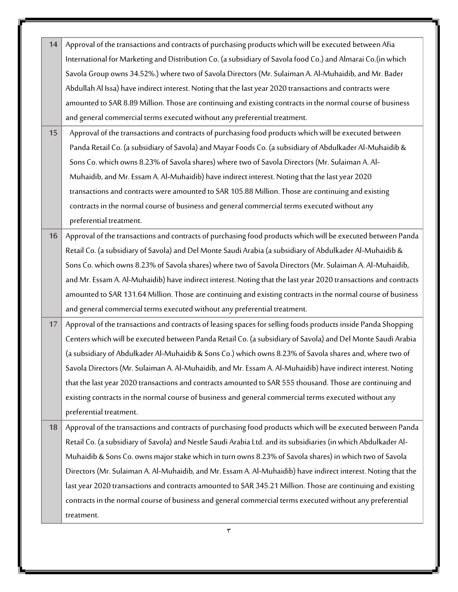| 14 | Approval of the transactions and contracts of purchasing products which will be executed between Afia           |
|----|-----------------------------------------------------------------------------------------------------------------|
|    | International for Marketing and Distribution Co. (a subsidiary of Savola food Co.) and Almarai Co.(in which     |
|    | Savola Group owns 34.52%.) where two of Savola Directors (Mr. Sulaiman A. Al-Muhaidib, and Mr. Bader            |
|    | Abdullah Al Issa) have indirect interest. Noting that the last year 2020 transactions and contracts were        |
|    | amounted to SAR 8.89 Million. Those are continuing and existing contracts in the normal course of business      |
|    | and general commercial terms executed without any preferential treatment.                                       |
| 15 | Approval of the transactions and contracts of purchasing food products which will be executed between           |
|    | Panda Retail Co. (a subsidiary of Savola) and Mayar Foods Co. (a subsidiary of Abdulkader Al-Muhaidib &         |
|    | Sons Co. which owns 8.23% of Savola shares) where two of Savola Directors (Mr. Sulaiman A. Al-                  |
|    | Muhaidib, and Mr. Essam A. Al-Muhaidib) have indirect interest. Noting that the last year 2020                  |
|    | transactions and contracts were amounted to SAR 105.88 Million. Those are continuing and existing               |
|    | contracts in the normal course of business and general commercial terms executed without any                    |
|    | preferential treatment.                                                                                         |
| 16 | Approval of the transactions and contracts of purchasing food products which will be executed between Panda     |
|    | Retail Co. (a subsidiary of Savola) and Del Monte Saudi Arabia (a subsidiary of Abdulkader Al-Muhaidib &        |
|    | Sons Co. which owns 8.23% of Savola shares) where two of Savola Directors (Mr. Sulaiman A. Al-Muhaidib,         |
|    | and Mr. Essam A. Al-Muhaidib) have indirect interest. Noting that the last year 2020 transactions and contracts |
|    | amounted to SAR 131.64 Million. Those are continuing and existing contracts in the normal course of business    |
|    | and general commercial terms executed without any preferential treatment.                                       |
| 17 | Approval of the transactions and contracts of leasing spaces for selling foods products inside Panda Shopping   |
|    | Centers which will be executed between Panda Retail Co. (a subsidiary of Savola) and Del Monte Saudi Arabia     |
|    | (a subsidiary of Abdulkader Al-Muhaidib & Sons Co.) which owns 8.23% of Savola shares and, where two of         |
|    | Savola Directors (Mr. Sulaiman A. Al-Muhaidib, and Mr. Essam A. Al-Muhaidib) have indirect interest. Noting     |
|    | that the last year 2020 transactions and contracts amounted to SAR 555 thousand. Those are continuing and       |
|    | existing contracts in the normal course of business and general commercial terms executed without any           |
|    | preferential treatment.                                                                                         |
| 18 | Approval of the transactions and contracts of purchasing food products which will be executed between Panda     |
|    | Retail Co. (a subsidiary of Savola) and Nestle Saudi Arabia Ltd. and its subsidiaries (in which Abdulkader Al-  |
|    | Muhaidib & Sons Co. owns major stake which in turn owns 8.23% of Savola shares) in which two of Savola          |
|    | Directors (Mr. Sulaiman A. Al-Muhaidib, and Mr. Essam A. Al-Muhaidib) have indirect interest. Noting that the   |
|    | last year 2020 transactions and contracts amounted to SAR 345.21 Million. Those are continuing and existing     |
|    | contracts in the normal course of business and general commercial terms executed without any preferential       |
|    | treatment.                                                                                                      |
|    | ٣                                                                                                               |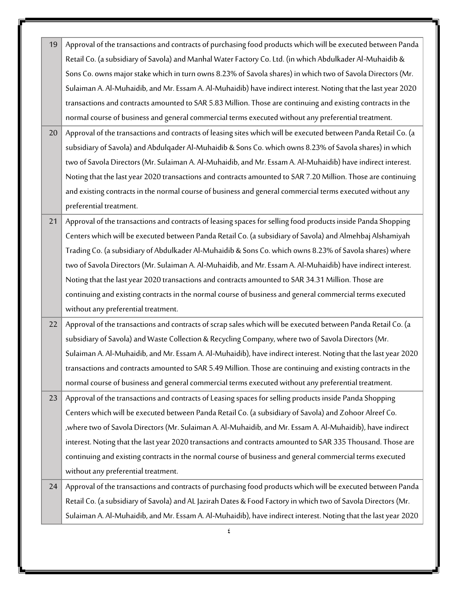| 19 | Approval of the transactions and contracts of purchasing food products which will be executed between Panda    |
|----|----------------------------------------------------------------------------------------------------------------|
|    | Retail Co. (a subsidiary of Savola) and Manhal Water Factory Co. Ltd. (in which Abdulkader Al-Muhaidib &       |
|    | Sons Co. owns major stake which in turn owns 8.23% of Savola shares) in which two of Savola Directors (Mr.     |
|    | Sulaiman A. Al-Muhaidib, and Mr. Essam A. Al-Muhaidib) have indirect interest. Noting that the last year 2020  |
|    | transactions and contracts amounted to SAR 5.83 Million. Those are continuing and existing contracts in the    |
|    | normal course of business and general commercial terms executed without any preferential treatment.            |
| 20 | Approval of the transactions and contracts of leasing sites which will be executed between Panda Retail Co. (a |
|    | subsidiary of Savola) and Abdulqader Al-Muhaidib & Sons Co. which owns 8.23% of Savola shares) in which        |
|    | two of Savola Directors (Mr. Sulaiman A. Al-Muhaidib, and Mr. Essam A. Al-Muhaidib) have indirect interest.    |
|    | Noting that the last year 2020 transactions and contracts amounted to SAR 7.20 Million. Those are continuing   |
|    | and existing contracts in the normal course of business and general commercial terms executed without any      |
|    | preferential treatment.                                                                                        |
| 21 | Approval of the transactions and contracts of leasing spaces for selling food products inside Panda Shopping   |
|    | Centers which will be executed between Panda Retail Co. (a subsidiary of Savola) and Almehbaj Alshamiyah       |
|    | Trading Co. (a subsidiary of Abdulkader Al-Muhaidib & Sons Co. which owns 8.23% of Savola shares) where        |
|    | two of Savola Directors (Mr. Sulaiman A. Al-Muhaidib, and Mr. Essam A. Al-Muhaidib) have indirect interest.    |
|    | Noting that the last year 2020 transactions and contracts amounted to SAR 34.31 Million. Those are             |
|    | continuing and existing contracts in the normal course of business and general commercial terms executed       |
|    | without any preferential treatment.                                                                            |
| 22 | Approval of the transactions and contracts of scrap sales which will be executed between Panda Retail Co. (a   |
|    | subsidiary of Savola) and Waste Collection & Recycling Company, where two of Savola Directors (Mr.             |
|    | Sulaiman A. Al-Muhaidib, and Mr. Essam A. Al-Muhaidib), have indirect interest. Noting that the last year 2020 |
|    | transactions and contracts amounted to SAR 5.49 Million. Those are continuing and existing contracts in the    |
|    | normal course of business and general commercial terms executed without any preferential treatment.            |
| 23 | Approval of the transactions and contracts of Leasing spaces for selling products inside Panda Shopping        |
|    | Centers which will be executed between Panda Retail Co. (a subsidiary of Savola) and Zohoor Alreef Co.         |
|    | , where two of Savola Directors (Mr. Sulaiman A. Al-Muhaidib, and Mr. Essam A. Al-Muhaidib), have indirect     |
|    | interest. Noting that the last year 2020 transactions and contracts amounted to SAR 335 Thousand. Those are    |
|    | continuing and existing contracts in the normal course of business and general commercial terms executed       |
|    | without any preferential treatment.                                                                            |
| 24 | Approval of the transactions and contracts of purchasing food products which will be executed between Panda    |
|    | Retail Co. (a subsidiary of Savola) and AL Jazirah Dates & Food Factory in which two of Savola Directors (Mr.  |
|    | Sulaiman A. Al-Muhaidib, and Mr. Essam A. Al-Muhaidib), have indirect interest. Noting that the last year 2020 |
|    | ٤                                                                                                              |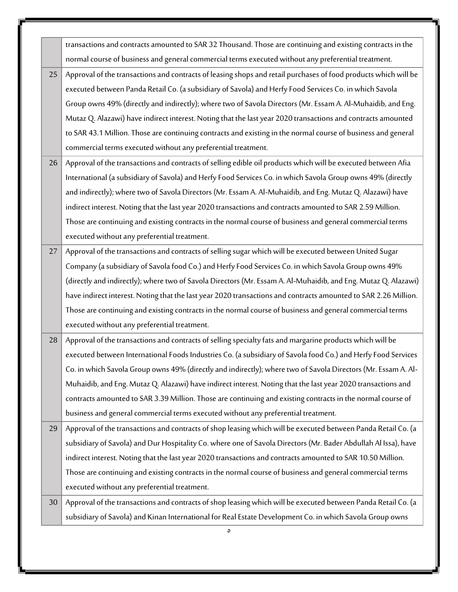|    | transactions and contracts amounted to SAR 32 Thousand. Those are continuing and existing contracts in the      |
|----|-----------------------------------------------------------------------------------------------------------------|
|    | normal course of business and general commercial terms executed without any preferential treatment.             |
| 25 | Approval of the transactions and contracts of leasing shops and retail purchases of food products which will be |
|    | executed between Panda Retail Co. (a subsidiary of Savola) and Herfy Food Services Co. in which Savola          |
|    | Group owns 49% (directly and indirectly); where two of Savola Directors (Mr. Essam A. Al-Muhaidib, and Eng.     |
|    | Mutaz Q. Alazawi) have indirect interest. Noting that the last year 2020 transactions and contracts amounted    |
|    | to SAR 43.1 Million. Those are continuing contracts and existing in the normal course of business and general   |
|    | commercial terms executed without any preferential treatment.                                                   |
| 26 | Approval of the transactions and contracts of selling edible oil products which will be executed between Afia   |
|    | International (a subsidiary of Savola) and Herfy Food Services Co. in which Savola Group owns 49% (directly     |
|    | and indirectly); where two of Savola Directors (Mr. Essam A. Al-Muhaidib, and Eng. Mutaz Q. Alazawi) have       |
|    | indirect interest. Noting that the last year 2020 transactions and contracts amounted to SAR 2.59 Million.      |
|    | Those are continuing and existing contracts in the normal course of business and general commercial terms       |
|    | executed without any preferential treatment.                                                                    |
| 27 | Approval of the transactions and contracts of selling sugar which will be executed between United Sugar         |
|    | Company (a subsidiary of Savola food Co.) and Herfy Food Services Co. in which Savola Group owns 49%            |
|    | (directly and indirectly); where two of Savola Directors (Mr. Essam A. Al-Muhaidib, and Eng. Mutaz Q. Alazawi)  |
|    | have indirect interest. Noting that the last year 2020 transactions and contracts amounted to SAR 2.26 Million. |
|    | Those are continuing and existing contracts in the normal course of business and general commercial terms       |
|    | executed without any preferential treatment.                                                                    |
| 28 | Approval of the transactions and contracts of selling specialty fats and margarine products which will be       |
|    | executed between International Foods Industries Co. (a subsidiary of Savola food Co.) and Herfy Food Services   |
|    | Co. in which Savola Group owns 49% (directly and indirectly); where two of Savola Directors (Mr. Essam A. Al-   |
|    | Muhaidib, and Eng. Mutaz Q. Alazawi) have indirect interest. Noting that the last year 2020 transactions and    |
|    | contracts amounted to SAR 3.39 Million. Those are continuing and existing contracts in the normal course of     |
|    | business and general commercial terms executed without any preferential treatment.                              |
| 29 | Approval of the transactions and contracts of shop leasing which will be executed between Panda Retail Co. (a   |
|    | subsidiary of Savola) and Dur Hospitality Co. where one of Savola Directors (Mr. Bader Abdullah Al Issa), have  |
|    | indirect interest. Noting that the last year 2020 transactions and contracts amounted to SAR 10.50 Million.     |
|    | Those are continuing and existing contracts in the normal course of business and general commercial terms       |
|    | executed without any preferential treatment.                                                                    |
| 30 | Approval of the transactions and contracts of shop leasing which will be executed between Panda Retail Co. (a   |
|    | subsidiary of Savola) and Kinan International for Real Estate Development Co. in which Savola Group owns        |
|    | $\circ$                                                                                                         |